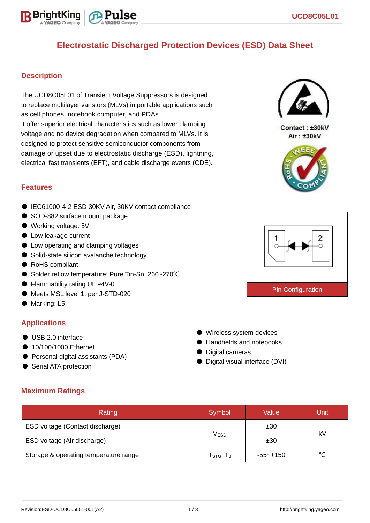

# **Description**

The UCD8C05L01 of Transient Voltage Suppressors is designed to replace multilayer varistors (MLVs) in portable applications such as cell phones, notebook computer, and PDAs. It offer superior electrical characteristics such as lower clamping voltage and no device degradation when compared to MLVs. It is designed to protect sensitive semiconductor components from damage or upset due to electrostatic discharge (ESD), lightning, electrical fast transients (EFT), and cable discharge events (CDE).

### **Features**

- IEC61000-4-2 ESD 30KV Air, 30KV contact compliance
- SOD-882 surface mount package
- Working voltage: 5V
- Low leakage current
- Low operating and clamping voltages
- Solid-state silicon avalanche technology
- RoHS compliant
- Solder reflow temperature: Pure Tin-Sn, 260~270°C
- Flammability rating UL 94V-0
- Meets MSL level 1, per J-STD-020
- Marking: L5:

## **Applications**

- USB 2.0 interface
- 10/100/1000 Ethernet
- Personal digital assistants (PDA)
- Serial ATA protection

## **Maximum Ratings**

| Rating                                | Symbol                             | Value    | Jnit   |  |
|---------------------------------------|------------------------------------|----------|--------|--|
| ESD voltage (Contact discharge)       |                                    | ±30      |        |  |
| ESD voltage (Air discharge)           | V <sub>ESD</sub>                   | ±30      | k٧     |  |
| Storage & operating temperature range | $T_{\scriptstyle\textrm{STG}}$ ,TJ | -55~+150 | $\sim$ |  |

● Wireless system devices ● Handhelds and notebooks

● Digital visual interface (DVI)

● Digital cameras



Contact: +30kV **Air: ±30kV** 



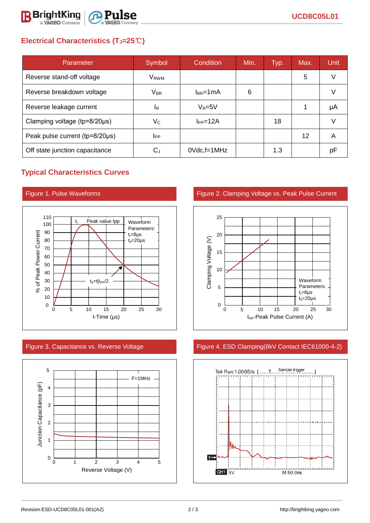

# **Electrical Characteristics (TJ=25**℃**)**

| Parameter                      | Symbol                    | Condition       | Min. | Typ. | Max. | Unit |
|--------------------------------|---------------------------|-----------------|------|------|------|------|
| Reverse stand-off voltage      | V <sub>RWM</sub>          |                 |      |      | 5    |      |
| Reverse breakdown voltage      | $V_{BR}$                  | $I_{BR}$ =1mA   | 6    |      |      |      |
| Reverse leakage current        | <sup>IR</sup>             | $V_R = 5V$      |      |      |      | μA   |
| Clamping voltage (tp=8/20µs)   | $\mathsf{V}_{\mathsf{C}}$ | $I_{PP} = 12A$  |      | 18   |      |      |
| Peak pulse current (tp=8/20µs) | <b>I</b> PP               |                 |      |      | 12   | Α    |
| Off state junction capacitance | $C_J$                     | $0Vdc$ , f=1MHz |      | 1.3  |      | рF   |

# **Typical Characteristics Curves**







Figure 1. Pulse Waveforms Figure 2. Clamping Voltage vs. Peak Pulse Current



### Figure 3. Capacitance vs. Reverse Voltage Figure 4. ESD Clamping(8kV Contact IEC61000-4-2)